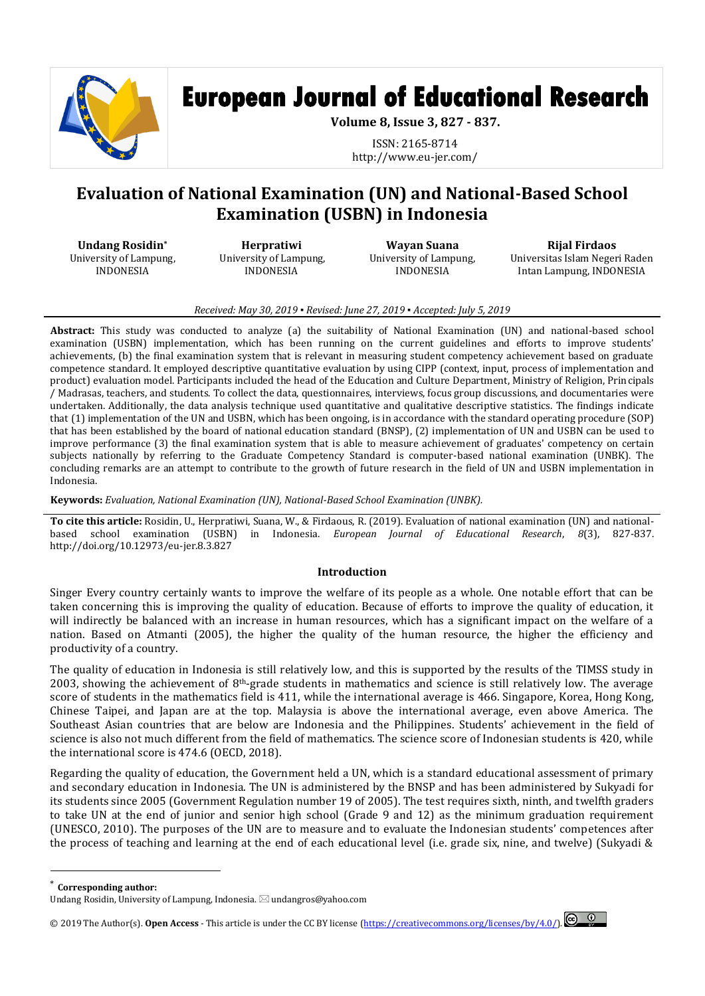

# **European Journal of Educational Research**

**Volume 8, Issue 3, 827 - 837.**

ISSN: 2165-8714 http://www.eu-jer.com/

# **Evaluation of National Examination (UN) and National-Based School Examination (USBN) in Indonesia**

**Undang Rosidin\*** University of Lampung, INDONESIA

**Herpratiwi**  University of Lampung, INDONESIA

**Wayan Suana** University of Lampung, INDONESIA

**Rijal Firdaos** Universitas Islam Negeri Raden Intan Lampung, INDONESIA

# *Received: May 30, 2019 ▪ Revised: June 27, 2019 ▪ Accepted: July 5, 2019*

**Abstract:** This study was conducted to analyze (a) the suitability of National Examination (UN) and national-based school examination (USBN) implementation, which has been running on the current guidelines and efforts to improve students' achievements, (b) the final examination system that is relevant in measuring student competency achievement based on graduate competence standard. It employed descriptive quantitative evaluation by using CIPP (context, input, process of implementation and product) evaluation model. Participants included the head of the Education and Culture Department, Ministry of Religion, Principals / Madrasas, teachers, and students. To collect the data, questionnaires, interviews, focus group discussions, and documentaries were undertaken. Additionally, the data analysis technique used quantitative and qualitative descriptive statistics. The findings indicate that (1) implementation of the UN and USBN, which has been ongoing, is in accordance with the standard operating procedure (SOP) that has been established by the board of national education standard (BNSP), (2) implementation of UN and USBN can be used to improve performance (3) the final examination system that is able to measure achievement of graduates' competency on certain subjects nationally by referring to the Graduate Competency Standard is computer-based national examination (UNBK). The concluding remarks are an attempt to contribute to the growth of future research in the field of UN and USBN implementation in Indonesia.

**Keywords:** *Evaluation, National Examination (UN), National-Based School Examination (UNBK).*

**To cite this article:** Rosidin, U., Herpratiwi, Suana, W., & Firdaous, R. (2019). Evaluation of national examination (UN) and nationalbased school examination (USBN) in Indonesia. *European Journal of Educational Research*, *8*(3), 827-837. http://doi.org/10.12973/eu-jer.8.3.827

# **Introduction**

Singer Every country certainly wants to improve the welfare of its people as a whole. One notable effort that can be taken concerning this is improving the quality of education. Because of efforts to improve the quality of education, it will indirectly be balanced with an increase in human resources, which has a significant impact on the welfare of a nation. Based on Atmanti (2005), the higher the quality of the human resource, the higher the efficiency and productivity of a country.

The quality of education in Indonesia is still relatively low, and this is supported by the results of the TIMSS study in 2003, showing the achievement of  $8<sup>th</sup>$ -grade students in mathematics and science is still relatively low. The average score of students in the mathematics field is 411, while the international average is 466. Singapore, Korea, Hong Kong, Chinese Taipei, and Japan are at the top. Malaysia is above the international average, even above America. The Southeast Asian countries that are below are Indonesia and the Philippines. Students' achievement in the field of science is also not much different from the field of mathematics. The science score of Indonesian students is 420, while the international score is 474.6 (OECD, 2018).

Regarding the quality of education, the Government held a UN, which is a standard educational assessment of primary and secondary education in Indonesia. The UN is administered by the BNSP and has been administered by Sukyadi for its students since 2005 (Government Regulation number 19 of 2005). The test requires sixth, ninth, and twelfth graders to take UN at the end of junior and senior high school (Grade 9 and 12) as the minimum graduation requirement (UNESCO, 2010). The purposes of the UN are to measure and to evaluate the Indonesian students' competences after the process of teaching and learning at the end of each educational level (i.e. grade six, nine, and twelve) (Sukyadi &

 $\overline{a}$ 

© 2019 The Author(s). **Open Access** - This article is under the CC BY license [\(https://creativecommons.org/licenses/by/4.0/\)](https://creativecommons.org/licenses/by/4.0/).



**Corresponding author:** 

Undang Rosidin, University of Lampung, Indonesia. ⊠ undangros@yahoo.com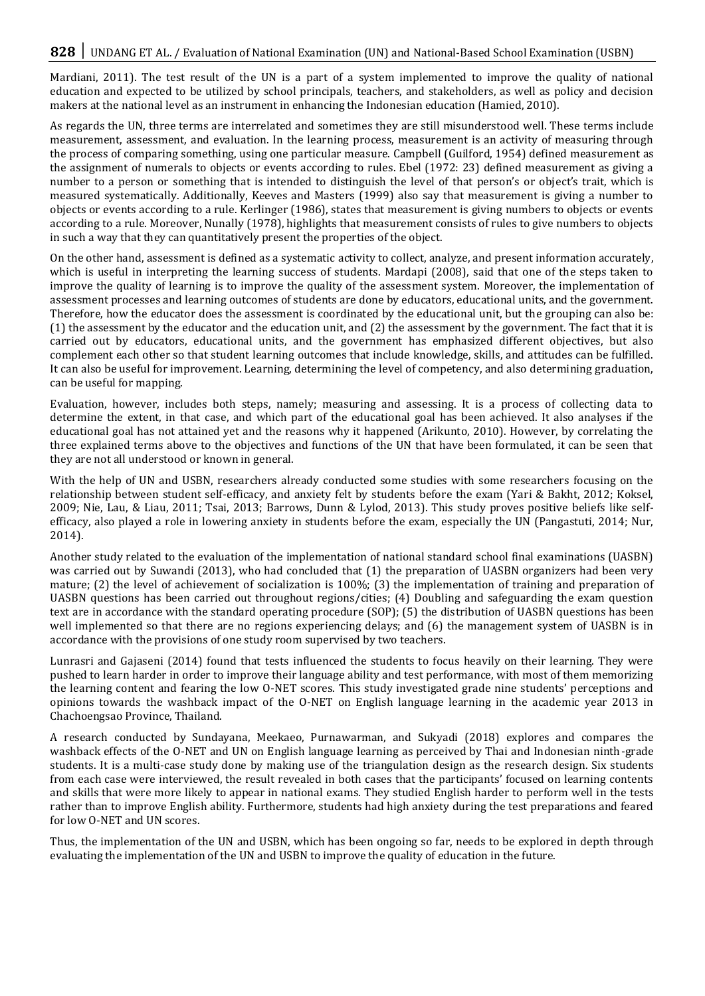Mardiani, 2011). The test result of the UN is a part of a system implemented to improve the quality of national education and expected to be utilized by school principals, teachers, and stakeholders, as well as policy and decision makers at the national level as an instrument in enhancing the Indonesian education (Hamied, 2010).

As regards the UN, three terms are interrelated and sometimes they are still misunderstood well. These terms include measurement, assessment, and evaluation. In the learning process, measurement is an activity of measuring through the process of comparing something, using one particular measure. Campbell (Guilford, 1954) defined measurement as the assignment of numerals to objects or events according to rules. Ebel (1972: 23) defined measurement as giving a number to a person or something that is intended to distinguish the level of that person's or object's trait, which is measured systematically. Additionally, Keeves and Masters (1999) also say that measurement is giving a number to objects or events according to a rule. Kerlinger (1986), states that measurement is giving numbers to objects or events according to a rule. Moreover, Nunally (1978), highlights that measurement consists of rules to give numbers to objects in such a way that they can quantitatively present the properties of the object.

On the other hand, assessment is defined as a systematic activity to collect, analyze, and present information accurately, which is useful in interpreting the learning success of students. Mardapi (2008), said that one of the steps taken to improve the quality of learning is to improve the quality of the assessment system. Moreover, the implementation of assessment processes and learning outcomes of students are done by educators, educational units, and the government. Therefore, how the educator does the assessment is coordinated by the educational unit, but the grouping can also be: (1) the assessment by the educator and the education unit, and (2) the assessment by the government. The fact that it is carried out by educators, educational units, and the government has emphasized different objectives, but also complement each other so that student learning outcomes that include knowledge, skills, and attitudes can be fulfilled. It can also be useful for improvement. Learning, determining the level of competency, and also determining graduation, can be useful for mapping.

Evaluation, however, includes both steps, namely; measuring and assessing. It is a process of collecting data to determine the extent, in that case, and which part of the educational goal has been achieved. It also analyses if the educational goal has not attained yet and the reasons why it happened (Arikunto, 2010). However, by correlating the three explained terms above to the objectives and functions of the UN that have been formulated, it can be seen that they are not all understood or known in general.

With the help of UN and USBN, researchers already conducted some studies with some researchers focusing on the relationship between student self-efficacy, and anxiety felt by students before the exam (Yari & Bakht, 2012; Koksel, 2009; Nie, Lau, & Liau, 2011; Tsai, 2013; Barrows, Dunn & Lylod, 2013). This study proves positive beliefs like selfefficacy, also played a role in lowering anxiety in students before the exam, especially the UN (Pangastuti, 2014; Nur, 2014).

Another study related to the evaluation of the implementation of national standard school final examinations (UASBN) was carried out by Suwandi (2013), who had concluded that (1) the preparation of UASBN organizers had been very mature; (2) the level of achievement of socialization is 100%; (3) the implementation of training and preparation of UASBN questions has been carried out throughout regions/cities; (4) Doubling and safeguarding the exam question text are in accordance with the standard operating procedure (SOP); (5) the distribution of UASBN questions has been well implemented so that there are no regions experiencing delays; and (6) the management system of UASBN is in accordance with the provisions of one study room supervised by two teachers.

Lunrasri and Gajaseni (2014) found that tests influenced the students to focus heavily on their learning. They were pushed to learn harder in order to improve their language ability and test performance, with most of them memorizing the learning content and fearing the low O-NET scores. This study investigated grade nine students' perceptions and opinions towards the washback impact of the O-NET on English language learning in the academic year 2013 in Chachoengsao Province, Thailand.

A research conducted by Sundayana, Meekaeo, Purnawarman, and Sukyadi (2018) explores and compares the washback effects of the O-NET and UN on English language learning as perceived by Thai and Indonesian ninth-grade students. It is a multi-case study done by making use of the triangulation design as the research design. Six students from each case were interviewed, the result revealed in both cases that the participants' focused on learning contents and skills that were more likely to appear in national exams. They studied English harder to perform well in the tests rather than to improve English ability. Furthermore, students had high anxiety during the test preparations and feared for low O-NET and UN scores.

Thus, the implementation of the UN and USBN, which has been ongoing so far, needs to be explored in depth through evaluating the implementation of the UN and USBN to improve the quality of education in the future.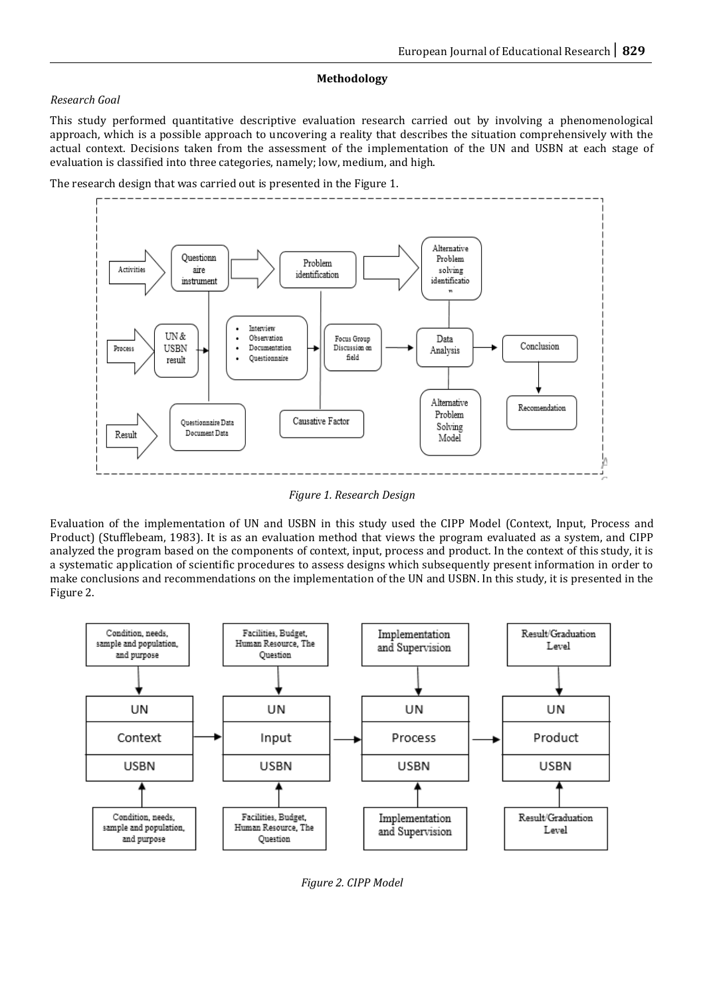# **Methodology**

# *Research Goal*

This study performed quantitative descriptive evaluation research carried out by involving a phenomenological approach, which is a possible approach to uncovering a reality that describes the situation comprehensively with the actual context. Decisions taken from the assessment of the implementation of the UN and USBN at each stage of evaluation is classified into three categories, namely; low, medium, and high.





*Figure 1. Research Design*

Evaluation of the implementation of UN and USBN in this study used the CIPP Model (Context, Input, Process and Product) (Stufflebeam, 1983). It is as an evaluation method that views the program evaluated as a system, and CIPP analyzed the program based on the components of context, input, process and product. In the context of this study, it is a systematic application of scientific procedures to assess designs which subsequently present information in order to make conclusions and recommendations on the implementation of the UN and USBN. In this study, it is presented in the Figure 2.



*Figure 2. CIPP Model*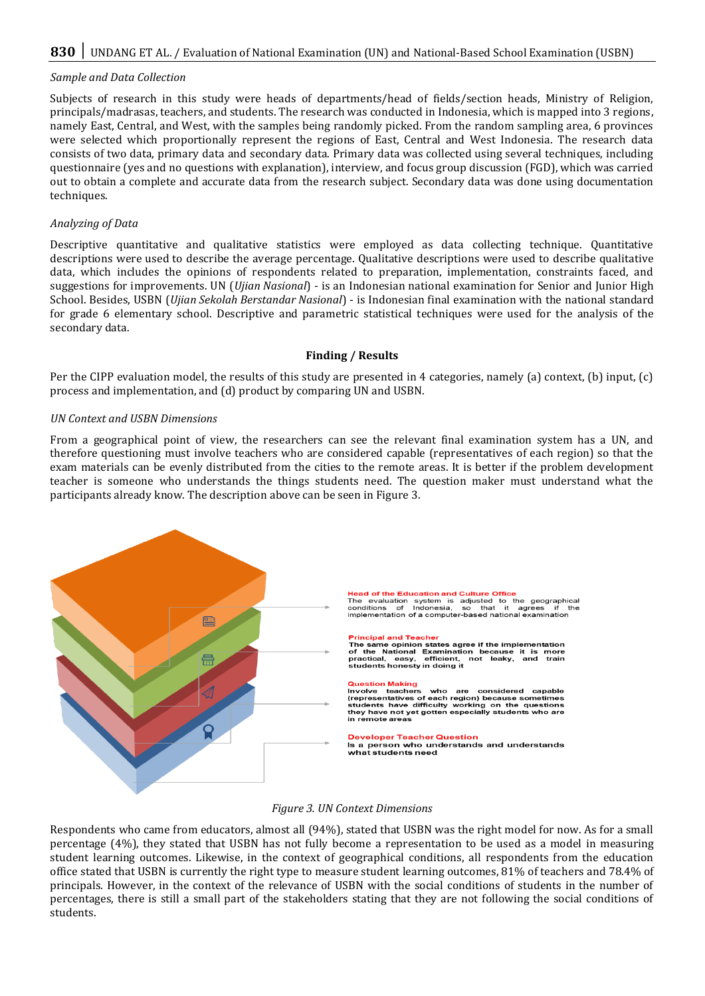# *Sample and Data Collection*

Subjects of research in this study were heads of departments/head of fields/section heads, Ministry of Religion, principals/madrasas, teachers, and students. The research was conducted in Indonesia, which is mapped into 3 regions, namely East, Central, and West, with the samples being randomly picked. From the random sampling area, 6 provinces were selected which proportionally represent the regions of East, Central and West Indonesia. The research data consists of two data, primary data and secondary data. Primary data was collected using several techniques, including questionnaire (yes and no questions with explanation), interview, and focus group discussion (FGD), which was carried out to obtain a complete and accurate data from the research subject. Secondary data was done using documentation techniques.

### *Analyzing of Data*

Descriptive quantitative and qualitative statistics were employed as data collecting technique. Quantitative descriptions were used to describe the average percentage. Qualitative descriptions were used to describe qualitative data, which includes the opinions of respondents related to preparation, implementation, constraints faced, and suggestions for improvements. UN (*Ujian Nasional*) - is an Indonesian national examination for Senior and Junior High School. Besides, USBN (*Ujian Sekolah Berstandar Nasional*) - is Indonesian final examination with the national standard for grade 6 elementary school. Descriptive and parametric statistical techniques were used for the analysis of the secondary data.

#### **Finding / Results**

Per the CIPP evaluation model, the results of this study are presented in 4 categories, namely (a) context, (b) input, (c) process and implementation, and (d) product by comparing UN and USBN.

#### *UN Context and USBN Dimensions*

From a geographical point of view, the researchers can see the relevant final examination system has a UN, and therefore questioning must involve teachers who are considered capable (representatives of each region) so that the exam materials can be evenly distributed from the cities to the remote areas. It is better if the problem development teacher is someone who understands the things students need. The question maker must understand what the participants already know. The description above can be seen in Figure 3.



# *Figure 3. UN Context Dimensions*

Respondents who came from educators, almost all (94%), stated that USBN was the right model for now. As for a small percentage (4%), they stated that USBN has not fully become a representation to be used as a model in measuring student learning outcomes. Likewise, in the context of geographical conditions, all respondents from the education office stated that USBN is currently the right type to measure student learning outcomes, 81% of teachers and 78.4% of principals. However, in the context of the relevance of USBN with the social conditions of students in the number of percentages, there is still a small part of the stakeholders stating that they are not following the social conditions of students.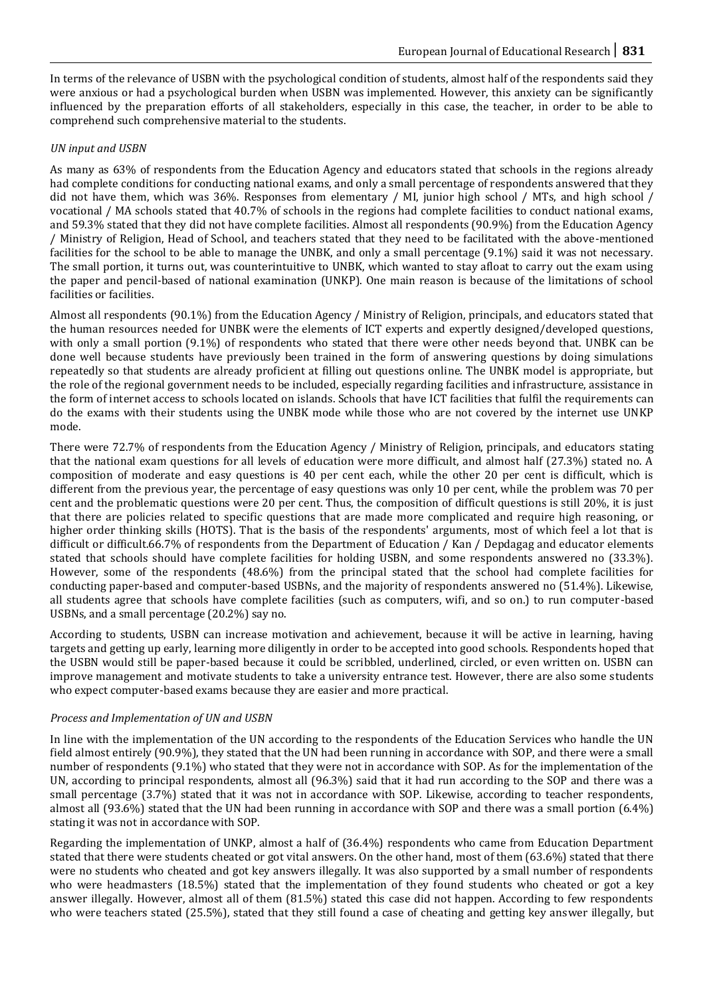In terms of the relevance of USBN with the psychological condition of students, almost half of the respondents said they were anxious or had a psychological burden when USBN was implemented. However, this anxiety can be significantly influenced by the preparation efforts of all stakeholders, especially in this case, the teacher, in order to be able to comprehend such comprehensive material to the students.

# *UN input and USBN*

As many as 63% of respondents from the Education Agency and educators stated that schools in the regions already had complete conditions for conducting national exams, and only a small percentage of respondents answered that they did not have them, which was 36%. Responses from elementary / MI, junior high school / MTs, and high school / vocational / MA schools stated that 40.7% of schools in the regions had complete facilities to conduct national exams, and 59.3% stated that they did not have complete facilities. Almost all respondents (90.9%) from the Education Agency / Ministry of Religion, Head of School, and teachers stated that they need to be facilitated with the above-mentioned facilities for the school to be able to manage the UNBK, and only a small percentage (9.1%) said it was not necessary. The small portion, it turns out, was counterintuitive to UNBK, which wanted to stay afloat to carry out the exam using the paper and pencil-based of national examination (UNKP). One main reason is because of the limitations of school facilities or facilities.

Almost all respondents (90.1%) from the Education Agency / Ministry of Religion, principals, and educators stated that the human resources needed for UNBK were the elements of ICT experts and expertly designed/developed questions, with only a small portion (9.1%) of respondents who stated that there were other needs beyond that. UNBK can be done well because students have previously been trained in the form of answering questions by doing simulations repeatedly so that students are already proficient at filling out questions online. The UNBK model is appropriate, but the role of the regional government needs to be included, especially regarding facilities and infrastructure, assistance in the form of internet access to schools located on islands. Schools that have ICT facilities that fulfil the requirements can do the exams with their students using the UNBK mode while those who are not covered by the internet use UNKP mode.

There were 72.7% of respondents from the Education Agency / Ministry of Religion, principals, and educators stating that the national exam questions for all levels of education were more difficult, and almost half (27.3%) stated no. A composition of moderate and easy questions is 40 per cent each, while the other 20 per cent is difficult, which is different from the previous year, the percentage of easy questions was only 10 per cent, while the problem was 70 per cent and the problematic questions were 20 per cent. Thus, the composition of difficult questions is still 20%, it is just that there are policies related to specific questions that are made more complicated and require high reasoning, or higher order thinking skills (HOTS). That is the basis of the respondents' arguments, most of which feel a lot that is difficult or difficult.66.7% of respondents from the Department of Education / Kan / Depdagag and educator elements stated that schools should have complete facilities for holding USBN, and some respondents answered no (33.3%). However, some of the respondents (48.6%) from the principal stated that the school had complete facilities for conducting paper-based and computer-based USBNs, and the majority of respondents answered no (51.4%). Likewise, all students agree that schools have complete facilities (such as computers, wifi, and so on.) to run computer-based USBNs, and a small percentage (20.2%) say no.

According to students, USBN can increase motivation and achievement, because it will be active in learning, having targets and getting up early, learning more diligently in order to be accepted into good schools. Respondents hoped that the USBN would still be paper-based because it could be scribbled, underlined, circled, or even written on. USBN can improve management and motivate students to take a university entrance test. However, there are also some students who expect computer-based exams because they are easier and more practical.

# *Process and Implementation of UN and USBN*

In line with the implementation of the UN according to the respondents of the Education Services who handle the UN field almost entirely (90.9%), they stated that the UN had been running in accordance with SOP, and there were a small number of respondents (9.1%) who stated that they were not in accordance with SOP. As for the implementation of the UN, according to principal respondents, almost all (96.3%) said that it had run according to the SOP and there was a small percentage (3.7%) stated that it was not in accordance with SOP. Likewise, according to teacher respondents, almost all (93.6%) stated that the UN had been running in accordance with SOP and there was a small portion (6.4%) stating it was not in accordance with SOP.

Regarding the implementation of UNKP, almost a half of (36.4%) respondents who came from Education Department stated that there were students cheated or got vital answers. On the other hand, most of them (63.6%) stated that there were no students who cheated and got key answers illegally. It was also supported by a small number of respondents who were headmasters (18.5%) stated that the implementation of they found students who cheated or got a key answer illegally. However, almost all of them (81.5%) stated this case did not happen. According to few respondents who were teachers stated (25.5%), stated that they still found a case of cheating and getting key answer illegally, but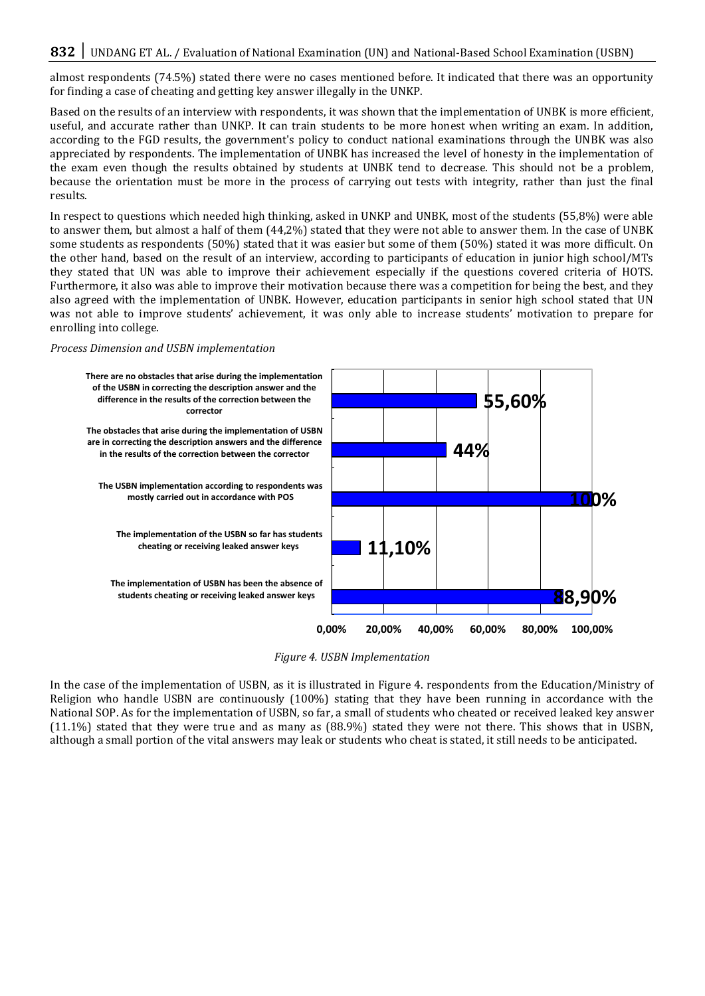almost respondents (74.5%) stated there were no cases mentioned before. It indicated that there was an opportunity for finding a case of cheating and getting key answer illegally in the UNKP.

Based on the results of an interview with respondents, it was shown that the implementation of UNBK is more efficient, useful, and accurate rather than UNKP. It can train students to be more honest when writing an exam. In addition, according to the FGD results, the government's policy to conduct national examinations through the UNBK was also appreciated by respondents. The implementation of UNBK has increased the level of honesty in the implementation of the exam even though the results obtained by students at UNBK tend to decrease. This should not be a problem, because the orientation must be more in the process of carrying out tests with integrity, rather than just the final results.

In respect to questions which needed high thinking, asked in UNKP and UNBK, most of the students (55,8%) were able to answer them, but almost a half of them (44,2%) stated that they were not able to answer them. In the case of UNBK some students as respondents (50%) stated that it was easier but some of them (50%) stated it was more difficult. On the other hand, based on the result of an interview, according to participants of education in junior high school/MTs they stated that UN was able to improve their achievement especially if the questions covered criteria of HOTS. Furthermore, it also was able to improve their motivation because there was a competition for being the best, and they also agreed with the implementation of UNBK. However, education participants in senior high school stated that UN was not able to improve students' achievement, it was only able to increase students' motivation to prepare for enrolling into college.

#### *Process Dimension and USBN implementation*



*Figure 4. USBN Implementation*

In the case of the implementation of USBN, as it is illustrated in Figure 4. respondents from the Education/Ministry of Religion who handle USBN are continuously (100%) stating that they have been running in accordance with the National SOP. As for the implementation of USBN, so far, a small of students who cheated or received leaked key answer (11.1%) stated that they were true and as many as (88.9%) stated they were not there. This shows that in USBN, although a small portion of the vital answers may leak or students who cheat is stated, it still needs to be anticipated.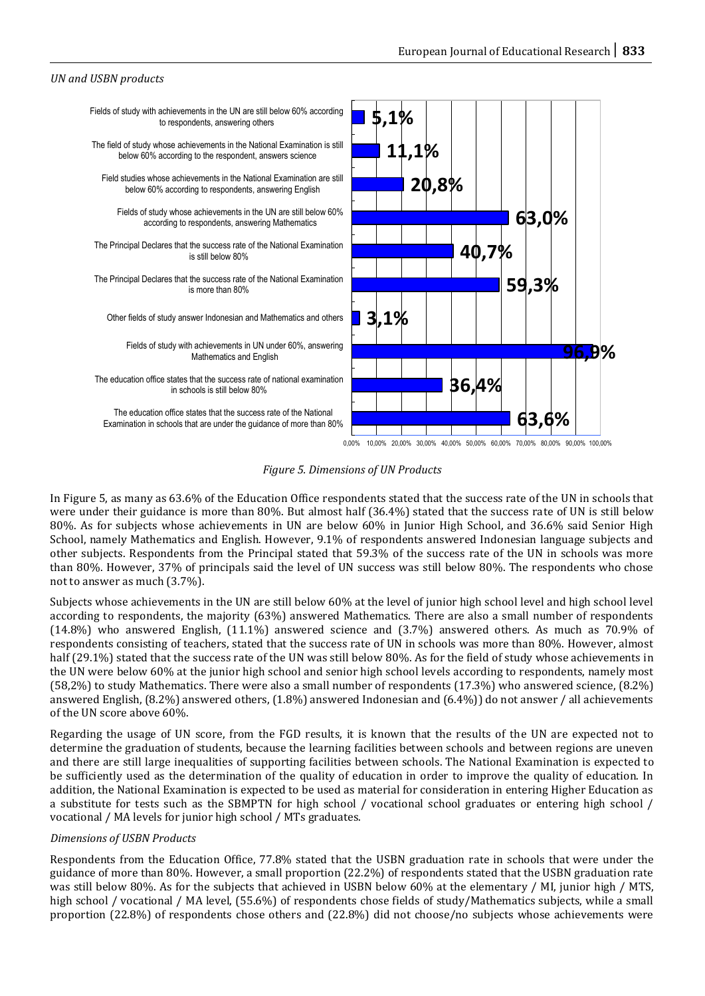### *UN and USBN products*



*Figure 5. Dimensions of UN Products*

In Figure 5, as many as 63.6% of the Education Office respondents stated that the success rate of the UN in schools that were under their guidance is more than 80%. But almost half (36.4%) stated that the success rate of UN is still below 80%. As for subjects whose achievements in UN are below 60% in Junior High School, and 36.6% said Senior High School, namely Mathematics and English. However, 9.1% of respondents answered Indonesian language subjects and other subjects. Respondents from the Principal stated that 59.3% of the success rate of the UN in schools was more than 80%. However, 37% of principals said the level of UN success was still below 80%. The respondents who chose not to answer as much (3.7%).

Subjects whose achievements in the UN are still below 60% at the level of junior high school level and high school level according to respondents, the majority (63%) answered Mathematics. There are also a small number of respondents (14.8%) who answered English, (11.1%) answered science and (3.7%) answered others. As much as 70.9% of respondents consisting of teachers, stated that the success rate of UN in schools was more than 80%. However, almost half (29.1%) stated that the success rate of the UN was still below 80%. As for the field of study whose achievements in the UN were below 60% at the junior high school and senior high school levels according to respondents, namely most (58,2%) to study Mathematics. There were also a small number of respondents (17.3%) who answered science, (8.2%) answered English, (8.2%) answered others, (1.8%) answered Indonesian and (6.4%)) do not answer / all achievements of the UN score above 60%.

Regarding the usage of UN score, from the FGD results, it is known that the results of the UN are expected not to determine the graduation of students, because the learning facilities between schools and between regions are uneven and there are still large inequalities of supporting facilities between schools. The National Examination is expected to be sufficiently used as the determination of the quality of education in order to improve the quality of education. In addition, the National Examination is expected to be used as material for consideration in entering Higher Education as a substitute for tests such as the SBMPTN for high school / vocational school graduates or entering high school / vocational / MA levels for junior high school / MTs graduates.

### *Dimensions of USBN Products*

Respondents from the Education Office, 77.8% stated that the USBN graduation rate in schools that were under the guidance of more than 80%. However, a small proportion (22.2%) of respondents stated that the USBN graduation rate was still below 80%. As for the subjects that achieved in USBN below 60% at the elementary / MI, junior high / MTS, high school / vocational / MA level, (55.6%) of respondents chose fields of study/Mathematics subjects, while a small proportion (22.8%) of respondents chose others and (22.8%) did not choose/no subjects whose achievements were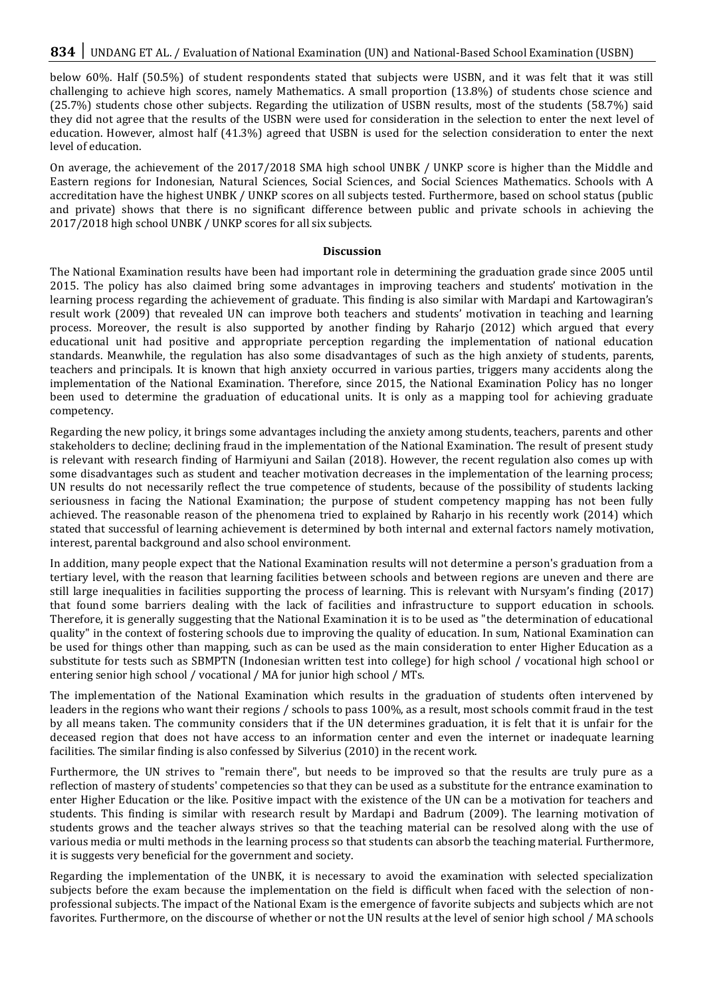below 60%. Half (50.5%) of student respondents stated that subjects were USBN, and it was felt that it was still challenging to achieve high scores, namely Mathematics. A small proportion (13.8%) of students chose science and (25.7%) students chose other subjects. Regarding the utilization of USBN results, most of the students (58.7%) said they did not agree that the results of the USBN were used for consideration in the selection to enter the next level of education. However, almost half (41.3%) agreed that USBN is used for the selection consideration to enter the next level of education.

On average, the achievement of the 2017/2018 SMA high school UNBK / UNKP score is higher than the Middle and Eastern regions for Indonesian, Natural Sciences, Social Sciences, and Social Sciences Mathematics. Schools with A accreditation have the highest UNBK / UNKP scores on all subjects tested. Furthermore, based on school status (public and private) shows that there is no significant difference between public and private schools in achieving the 2017/2018 high school UNBK / UNKP scores for all six subjects.

#### **Discussion**

The National Examination results have been had important role in determining the graduation grade since 2005 until 2015. The policy has also claimed bring some advantages in improving teachers and students' motivation in the learning process regarding the achievement of graduate. This finding is also similar with Mardapi and Kartowagiran's result work (2009) that revealed UN can improve both teachers and students' motivation in teaching and learning process. Moreover, the result is also supported by another finding by Raharjo (2012) which argued that every educational unit had positive and appropriate perception regarding the implementation of national education standards. Meanwhile, the regulation has also some disadvantages of such as the high anxiety of students, parents, teachers and principals. It is known that high anxiety occurred in various parties, triggers many accidents along the implementation of the National Examination. Therefore, since 2015, the National Examination Policy has no longer been used to determine the graduation of educational units. It is only as a mapping tool for achieving graduate competency.

Regarding the new policy, it brings some advantages including the anxiety among students, teachers, parents and other stakeholders to decline; declining fraud in the implementation of the National Examination. The result of present study is relevant with research finding of Harmiyuni and Sailan (2018). However, the recent regulation also comes up with some disadvantages such as student and teacher motivation decreases in the implementation of the learning process; UN results do not necessarily reflect the true competence of students, because of the possibility of students lacking seriousness in facing the National Examination; the purpose of student competency mapping has not been fully achieved. The reasonable reason of the phenomena tried to explained by Raharjo in his recently work (2014) which stated that successful of learning achievement is determined by both internal and external factors namely motivation, interest, parental background and also school environment.

In addition, many people expect that the National Examination results will not determine a person's graduation from a tertiary level, with the reason that learning facilities between schools and between regions are uneven and there are still large inequalities in facilities supporting the process of learning. This is relevant with Nursyam's finding (2017) that found some barriers dealing with the lack of facilities and infrastructure to support education in schools. Therefore, it is generally suggesting that the National Examination it is to be used as "the determination of educational quality" in the context of fostering schools due to improving the quality of education. In sum, National Examination can be used for things other than mapping, such as can be used as the main consideration to enter Higher Education as a substitute for tests such as SBMPTN (Indonesian written test into college) for high school / vocational high school or entering senior high school / vocational / MA for junior high school / MTs.

The implementation of the National Examination which results in the graduation of students often intervened by leaders in the regions who want their regions / schools to pass 100%, as a result, most schools commit fraud in the test by all means taken. The community considers that if the UN determines graduation, it is felt that it is unfair for the deceased region that does not have access to an information center and even the internet or inadequate learning facilities. The similar finding is also confessed by Silverius (2010) in the recent work.

Furthermore, the UN strives to "remain there", but needs to be improved so that the results are truly pure as a reflection of mastery of students' competencies so that they can be used as a substitute for the entrance examination to enter Higher Education or the like. Positive impact with the existence of the UN can be a motivation for teachers and students. This finding is similar with research result by Mardapi and Badrum (2009). The learning motivation of students grows and the teacher always strives so that the teaching material can be resolved along with the use of various media or multi methods in the learning process so that students can absorb the teaching material. Furthermore, it is suggests very beneficial for the government and society.

Regarding the implementation of the UNBK, it is necessary to avoid the examination with selected specialization subjects before the exam because the implementation on the field is difficult when faced with the selection of nonprofessional subjects. The impact of the National Exam is the emergence of favorite subjects and subjects which are not favorites. Furthermore, on the discourse of whether or not the UN results at the level of senior high school / MA schools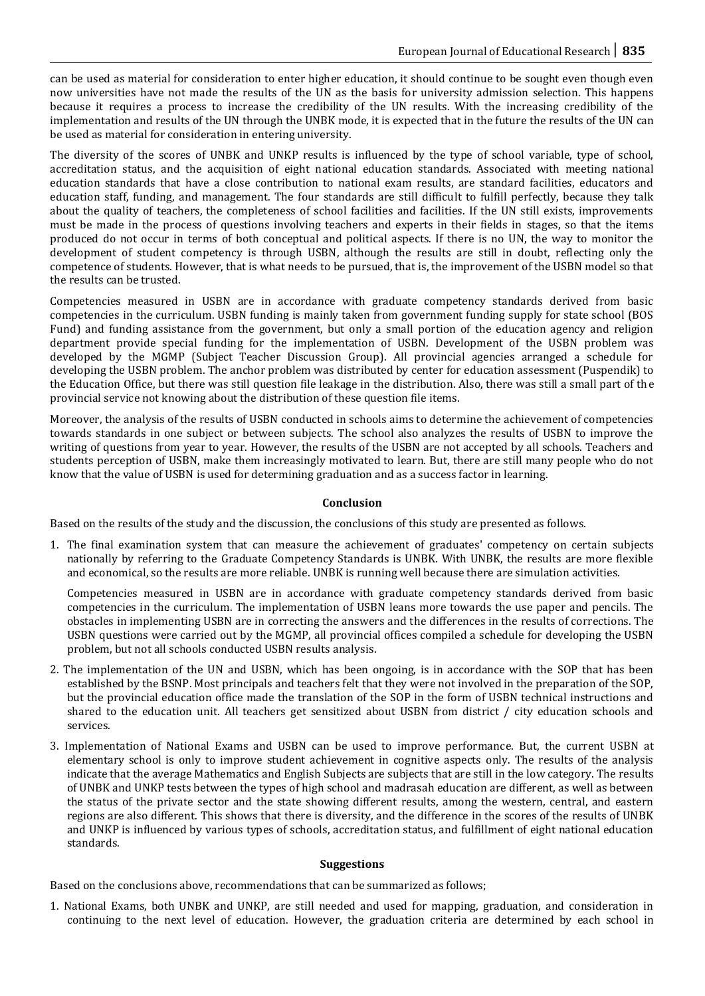can be used as material for consideration to enter higher education, it should continue to be sought even though even now universities have not made the results of the UN as the basis for university admission selection. This happens because it requires a process to increase the credibility of the UN results. With the increasing credibility of the implementation and results of the UN through the UNBK mode, it is expected that in the future the results of the UN can be used as material for consideration in entering university.

The diversity of the scores of UNBK and UNKP results is influenced by the type of school variable, type of school, accreditation status, and the acquisition of eight national education standards. Associated with meeting national education standards that have a close contribution to national exam results, are standard facilities, educators and education staff, funding, and management. The four standards are still difficult to fulfill perfectly, because they talk about the quality of teachers, the completeness of school facilities and facilities. If the UN still exists, improvements must be made in the process of questions involving teachers and experts in their fields in stages, so that the items produced do not occur in terms of both conceptual and political aspects. If there is no UN, the way to monitor the development of student competency is through USBN, although the results are still in doubt, reflecting only the competence of students. However, that is what needs to be pursued, that is, the improvement of the USBN model so that the results can be trusted.

Competencies measured in USBN are in accordance with graduate competency standards derived from basic competencies in the curriculum. USBN funding is mainly taken from government funding supply for state school (BOS Fund) and funding assistance from the government, but only a small portion of the education agency and religion department provide special funding for the implementation of USBN. Development of the USBN problem was developed by the MGMP (Subject Teacher Discussion Group). All provincial agencies arranged a schedule for developing the USBN problem. The anchor problem was distributed by center for education assessment (Puspendik) to the Education Office, but there was still question file leakage in the distribution. Also, there was still a small part of the provincial service not knowing about the distribution of these question file items.

Moreover, the analysis of the results of USBN conducted in schools aims to determine the achievement of competencies towards standards in one subject or between subjects. The school also analyzes the results of USBN to improve the writing of questions from year to year. However, the results of the USBN are not accepted by all schools. Teachers and students perception of USBN, make them increasingly motivated to learn. But, there are still many people who do not know that the value of USBN is used for determining graduation and as a success factor in learning.

# **Conclusion**

Based on the results of the study and the discussion, the conclusions of this study are presented as follows.

1. The final examination system that can measure the achievement of graduates' competency on certain subjects nationally by referring to the Graduate Competency Standards is UNBK. With UNBK, the results are more flexible and economical, so the results are more reliable. UNBK is running well because there are simulation activities.

Competencies measured in USBN are in accordance with graduate competency standards derived from basic competencies in the curriculum. The implementation of USBN leans more towards the use paper and pencils. The obstacles in implementing USBN are in correcting the answers and the differences in the results of corrections. The USBN questions were carried out by the MGMP, all provincial offices compiled a schedule for developing the USBN problem, but not all schools conducted USBN results analysis.

- 2. The implementation of the UN and USBN, which has been ongoing, is in accordance with the SOP that has been established by the BSNP. Most principals and teachers felt that they were not involved in the preparation of the SOP, but the provincial education office made the translation of the SOP in the form of USBN technical instructions and shared to the education unit. All teachers get sensitized about USBN from district / city education schools and services.
- 3. Implementation of National Exams and USBN can be used to improve performance. But, the current USBN at elementary school is only to improve student achievement in cognitive aspects only. The results of the analysis indicate that the average Mathematics and English Subjects are subjects that are still in the low category. The results of UNBK and UNKP tests between the types of high school and madrasah education are different, as well as between the status of the private sector and the state showing different results, among the western, central, and eastern regions are also different. This shows that there is diversity, and the difference in the scores of the results of UNBK and UNKP is influenced by various types of schools, accreditation status, and fulfillment of eight national education standards.

# **Suggestions**

Based on the conclusions above, recommendations that can be summarized as follows;

1. National Exams, both UNBK and UNKP, are still needed and used for mapping, graduation, and consideration in continuing to the next level of education. However, the graduation criteria are determined by each school in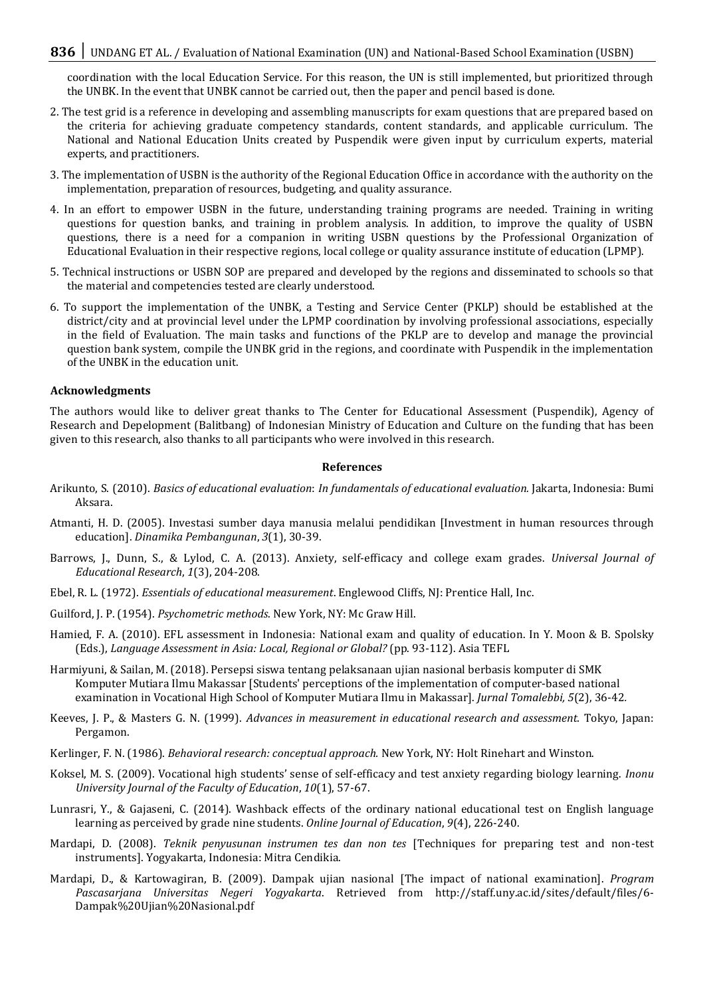# 836 | UNDANG ET AL. / Evaluation of National Examination (UN) and National-Based School Examination (USBN)

coordination with the local Education Service. For this reason, the UN is still implemented, but prioritized through the UNBK. In the event that UNBK cannot be carried out, then the paper and pencil based is done.

- 2. The test grid is a reference in developing and assembling manuscripts for exam questions that are prepared based on the criteria for achieving graduate competency standards, content standards, and applicable curriculum. The National and National Education Units created by Puspendik were given input by curriculum experts, material experts, and practitioners.
- 3. The implementation of USBN is the authority of the Regional Education Office in accordance with the authority on the implementation, preparation of resources, budgeting, and quality assurance.
- 4. In an effort to empower USBN in the future, understanding training programs are needed. Training in writing questions for question banks, and training in problem analysis. In addition, to improve the quality of USBN questions, there is a need for a companion in writing USBN questions by the Professional Organization of Educational Evaluation in their respective regions, local college or quality assurance institute of education (LPMP).
- 5. Technical instructions or USBN SOP are prepared and developed by the regions and disseminated to schools so that the material and competencies tested are clearly understood.
- 6. To support the implementation of the UNBK, a Testing and Service Center (PKLP) should be established at the district/city and at provincial level under the LPMP coordination by involving professional associations, especially in the field of Evaluation. The main tasks and functions of the PKLP are to develop and manage the provincial question bank system, compile the UNBK grid in the regions, and coordinate with Puspendik in the implementation of the UNBK in the education unit.

#### **Acknowledgments**

The authors would like to deliver great thanks to The Center for Educational Assessment (Puspendik), Agency of Research and Depelopment (Balitbang) of Indonesian Ministry of Education and Culture on the funding that has been given to this research, also thanks to all participants who were involved in this research.

#### **References**

- Arikunto, S. (2010). *Basics of educational evaluation*: *In fundamentals of educational evaluation.* Jakarta, Indonesia: Bumi Aksara.
- Atmanti, H. D. (2005). Investasi sumber daya manusia melalui pendidikan [Investment in human resources through education]. *Dinamika Pembangunan*, *3*(1), 30-39.
- Barrows, J., Dunn, S., & Lylod, C. A. (2013). Anxiety, self-efficacy and college exam grades. *Universal Journal of Educational Research*, *1*(3), 204-208.
- Ebel, R. L. (1972). *Essentials of educational measurement*. Englewood Cliffs, NJ: Prentice Hall, Inc.
- Guilford, J. P. (1954). *Psychometric methods*. New York, NY: Mc Graw Hill.
- Hamied, F. A. (2010). EFL assessment in Indonesia: National exam and quality of education. In Y. Moon & B. Spolsky (Eds.), *Language Assessment in Asia: Local, Regional or Global?* (pp. 93-112). Asia TEFL
- Harmiyuni, & Sailan, M. (2018). Persepsi siswa tentang pelaksanaan ujian nasional berbasis komputer di SMK Komputer Mutiara Ilmu Makassar [Students' perceptions of the implementation of computer-based national examination in Vocational High School of Komputer Mutiara Ilmu in Makassar]. *Jurnal Tomalebbi, 5*(2), 36-42*.*
- Keeves, J. P., & Masters G. N. (1999). *Advances in measurement in educational research and assessment.* Tokyo, Japan: Pergamon.
- Kerlinger, F. N. (1986). *Behavioral research: conceptual approach.* New York, NY: Holt Rinehart and Winston.
- Koksel, M. S. (2009). Vocational high students' sense of self-efficacy and test anxiety regarding biology learning. *Inonu University Journal of the Faculty of Education*, *10*(1), 57-67.
- Lunrasri, Y., & Gajaseni, C. (2014). Washback effects of the ordinary national educational test on English language learning as perceived by grade nine students. *Online Journal of Education*, *9*(4), 226-240.
- Mardapi, D. (2008). *Teknik penyusunan instrumen tes dan non tes* [Techniques for preparing test and non-test instruments]. Yogyakarta, Indonesia: Mitra Cendikia.
- Mardapi, D., & Kartowagiran, B. (2009). Dampak ujian nasional [The impact of national examination]. *Program Pascasarjana Universitas Negeri Yogyakarta*. Retrieved from http://staff.uny.ac.id/sites/default/files/6- Dampak%20Ujian%20Nasional.pdf